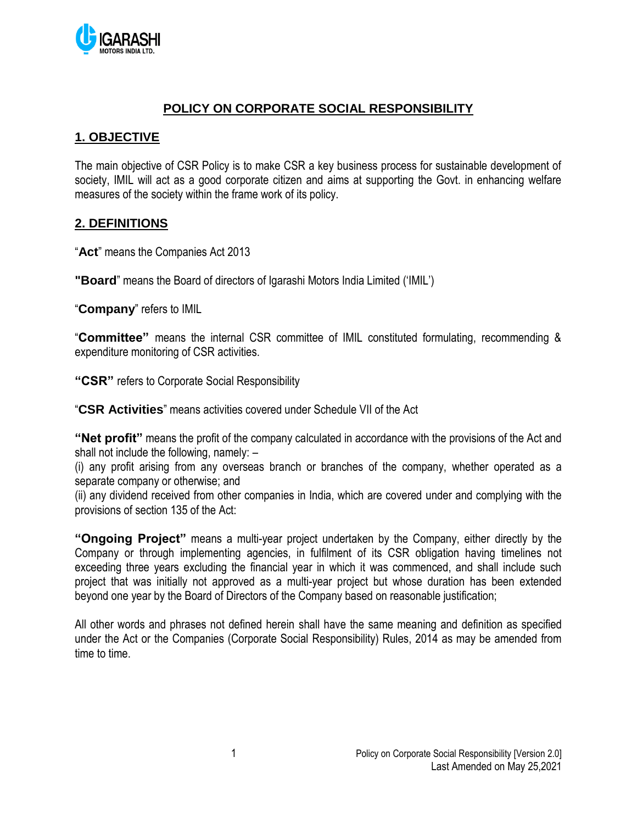

### **POLICY ON CORPORATE SOCIAL RESPONSIBILITY**

### **1. OBJECTIVE**

The main objective of CSR Policy is to make CSR a key business process for sustainable development of society, IMIL will act as a good corporate citizen and aims at supporting the Govt. in enhancing welfare measures of the society within the frame work of its policy.

#### **2. DEFINITIONS**

"**Act**" means the Companies Act 2013

**"Board**" means the Board of directors of Igarashi Motors India Limited ('IMIL')

"**Company**" refers to IMIL

"**Committee"** means the internal CSR committee of IMIL constituted formulating, recommending & expenditure monitoring of CSR activities.

**"CSR"** refers to Corporate Social Responsibility

"**CSR Activities**" means activities covered under Schedule VII of the Act

**"Net profit"** means the profit of the company calculated in accordance with the provisions of the Act and shall not include the following, namely: –

(i) any profit arising from any overseas branch or branches of the company, whether operated as a separate company or otherwise; and

(ii) any dividend received from other companies in India, which are covered under and complying with the provisions of section 135 of the Act:

**"Ongoing Project"** means a multi-year project undertaken by the Company, either directly by the Company or through implementing agencies, in fulfilment of its CSR obligation having timelines not exceeding three years excluding the financial year in which it was commenced, and shall include such project that was initially not approved as a multi-year project but whose duration has been extended beyond one year by the Board of Directors of the Company based on reasonable justification;

All other words and phrases not defined herein shall have the same meaning and definition as specified under the Act or the Companies (Corporate Social Responsibility) Rules, 2014 as may be amended from time to time.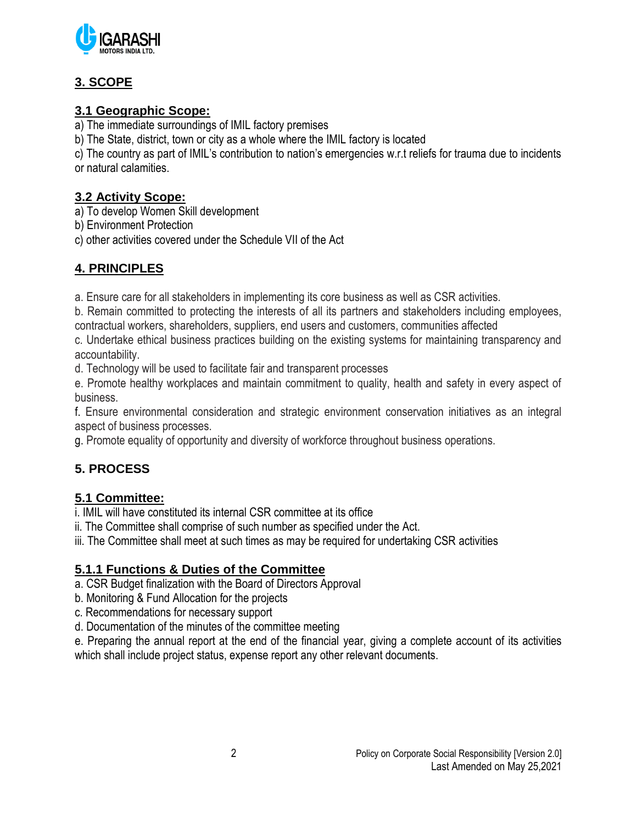

# **3. SCOPE**

# **3.1 Geographic Scope:**

a) The immediate surroundings of IMIL factory premises

b) The State, district, town or city as a whole where the IMIL factory is located

c) The country as part of IMIL's contribution to nation's emergencies w.r.t reliefs for trauma due to incidents or natural calamities.

### **3.2 Activity Scope:**

a) To develop Women Skill development

b) Environment Protection

c) other activities covered under the Schedule VII of the Act

# **4. PRINCIPLES**

a. Ensure care for all stakeholders in implementing its core business as well as CSR activities.

b. Remain committed to protecting the interests of all its partners and stakeholders including employees, contractual workers, shareholders, suppliers, end users and customers, communities affected

c. Undertake ethical business practices building on the existing systems for maintaining transparency and accountability.

d. Technology will be used to facilitate fair and transparent processes

e. Promote healthy workplaces and maintain commitment to quality, health and safety in every aspect of business.

f. Ensure environmental consideration and strategic environment conservation initiatives as an integral aspect of business processes.

g. Promote equality of opportunity and diversity of workforce throughout business operations.

# **5. PROCESS**

### **5.1 Committee:**

i. IMIL will have constituted its internal CSR committee at its office

ii. The Committee shall comprise of such number as specified under the Act.

iii. The Committee shall meet at such times as may be required for undertaking CSR activities

### **5.1.1 Functions & Duties of the Committee**

a. CSR Budget finalization with the Board of Directors Approval

- b. Monitoring & Fund Allocation for the projects
- c. Recommendations for necessary support
- d. Documentation of the minutes of the committee meeting

e. Preparing the annual report at the end of the financial year, giving a complete account of its activities which shall include project status, expense report any other relevant documents.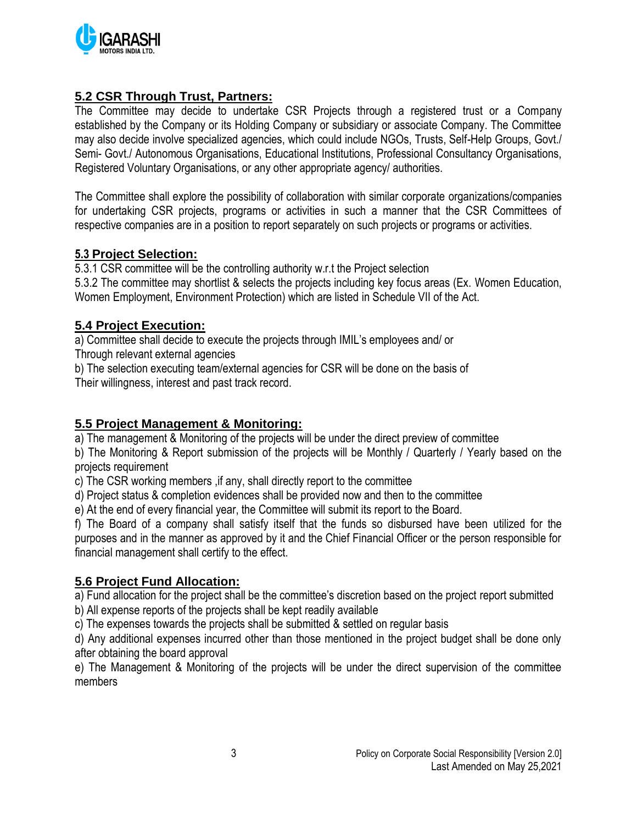

### **5.2 CSR Through Trust, Partners:**

The Committee may decide to undertake CSR Projects through a registered trust or a Company established by the Company or its Holding Company or subsidiary or associate Company. The Committee may also decide involve specialized agencies, which could include NGOs, Trusts, Self-Help Groups, Govt./ Semi- Govt./ Autonomous Organisations, Educational Institutions, Professional Consultancy Organisations, Registered Voluntary Organisations, or any other appropriate agency/ authorities.

The Committee shall explore the possibility of collaboration with similar corporate organizations/companies for undertaking CSR projects, programs or activities in such a manner that the CSR Committees of respective companies are in a position to report separately on such projects or programs or activities.

#### **5.3 Project Selection:**

5.3.1 CSR committee will be the controlling authority w.r.t the Project selection 5.3.2 The committee may shortlist & selects the projects including key focus areas (Ex. Women Education, Women Employment, Environment Protection) which are listed in Schedule VII of the Act.

#### **5.4 Project Execution:**

a) Committee shall decide to execute the projects through IMIL's employees and/ or

Through relevant external agencies

b) The selection executing team/external agencies for CSR will be done on the basis of Their willingness, interest and past track record.

#### **5.5 Project Management & Monitoring:**

a) The management & Monitoring of the projects will be under the direct preview of committee

b) The Monitoring & Report submission of the projects will be Monthly / Quarterly / Yearly based on the projects requirement

c) The CSR working members ,if any, shall directly report to the committee

d) Project status & completion evidences shall be provided now and then to the committee

e) At the end of every financial year, the Committee will submit its report to the Board.

f) The Board of a company shall satisfy itself that the funds so disbursed have been utilized for the purposes and in the manner as approved by it and the Chief Financial Officer or the person responsible for financial management shall certify to the effect.

#### **5.6 Project Fund Allocation:**

a) Fund allocation for the project shall be the committee's discretion based on the project report submitted

b) All expense reports of the projects shall be kept readily available

c) The expenses towards the projects shall be submitted & settled on regular basis

d) Any additional expenses incurred other than those mentioned in the project budget shall be done only after obtaining the board approval

e) The Management & Monitoring of the projects will be under the direct supervision of the committee members